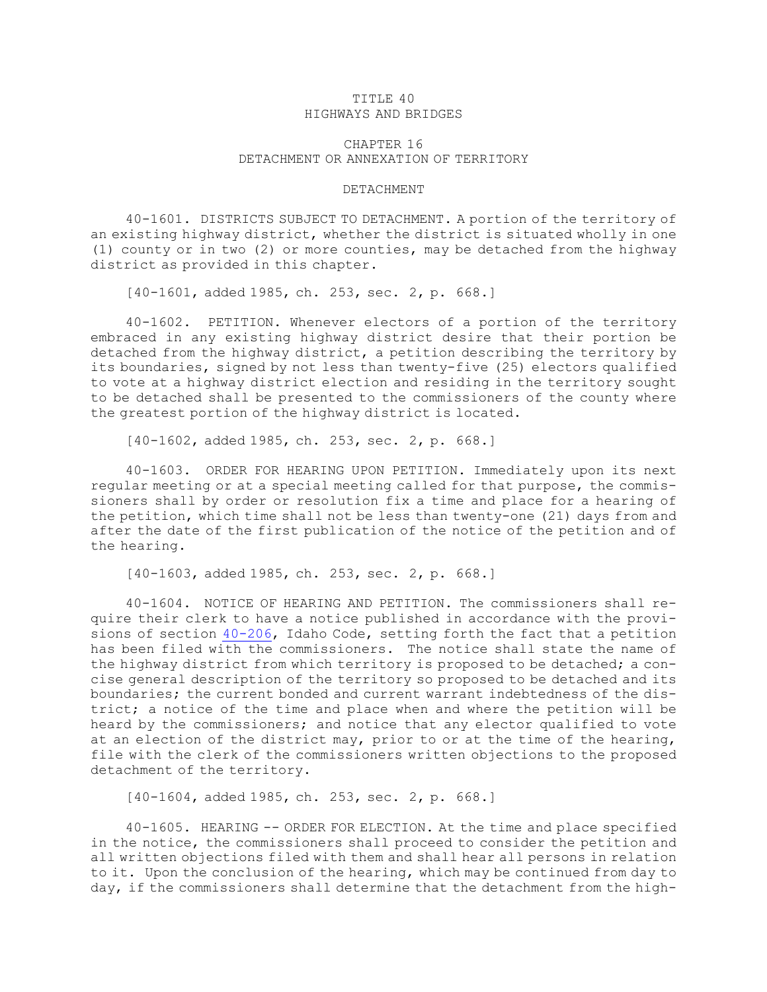## TITLE 40 HIGHWAYS AND BRIDGES

## CHAPTER 16 DETACHMENT OR ANNEXATION OF TERRITORY

## DETACHMENT

40-1601. DISTRICTS SUBJECT TO DETACHMENT. <sup>A</sup> portion of the territory of an existing highway district, whether the district is situated wholly in one (1) county or in two (2) or more counties, may be detached from the highway district as provided in this chapter.

[40-1601, added 1985, ch. 253, sec. 2, p. 668.]

40-1602. PETITION. Whenever electors of <sup>a</sup> portion of the territory embraced in any existing highway district desire that their portion be detached from the highway district, <sup>a</sup> petition describing the territory by its boundaries, signed by not less than twenty-five (25) electors qualified to vote at <sup>a</sup> highway district election and residing in the territory sought to be detached shall be presented to the commissioners of the county where the greatest portion of the highway district is located.

[40-1602, added 1985, ch. 253, sec. 2, p. 668.]

40-1603. ORDER FOR HEARING UPON PETITION. Immediately upon its next regular meeting or at <sup>a</sup> special meeting called for that purpose, the commissioners shall by order or resolution fix <sup>a</sup> time and place for <sup>a</sup> hearing of the petition, which time shall not be less than twenty-one (21) days from and after the date of the first publication of the notice of the petition and of the hearing.

[40-1603, added 1985, ch. 253, sec. 2, p. 668.]

40-1604. NOTICE OF HEARING AND PETITION. The commissioners shall require their clerk to have <sup>a</sup> notice published in accordance with the provisions of section [40-206](https://legislature.idaho.gov/statutesrules/idstat/Title40/T40CH2/SECT40-206), Idaho Code, setting forth the fact that <sup>a</sup> petition has been filed with the commissioners. The notice shall state the name of the highway district from which territory is proposed to be detached; <sup>a</sup> concise general description of the territory so proposed to be detached and its boundaries; the current bonded and current warrant indebtedness of the district; <sup>a</sup> notice of the time and place when and where the petition will be heard by the commissioners; and notice that any elector qualified to vote at an election of the district may, prior to or at the time of the hearing, file with the clerk of the commissioners written objections to the proposed detachment of the territory.

[40-1604, added 1985, ch. 253, sec. 2, p. 668.]

40-1605. HEARING -- ORDER FOR ELECTION. At the time and place specified in the notice, the commissioners shall proceed to consider the petition and all written objections filed with them and shall hear all persons in relation to it. Upon the conclusion of the hearing, which may be continued from day to day, if the commissioners shall determine that the detachment from the high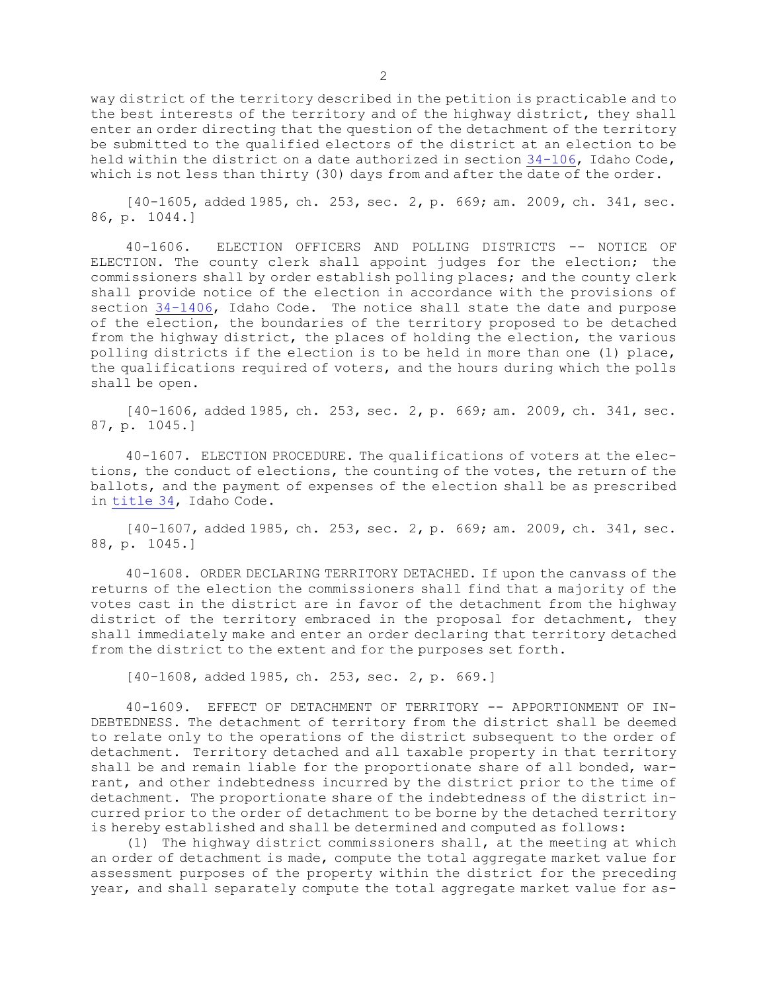way district of the territory described in the petition is practicable and to the best interests of the territory and of the highway district, they shall enter an order directing that the question of the detachment of the territory be submitted to the qualified electors of the district at an election to be held within the district on a date authorized in section [34-106](https://legislature.idaho.gov/statutesrules/idstat/Title34/T34CH1/SECT34-106), Idaho Code, which is not less than thirty (30) days from and after the date of the order.

[40-1605, added 1985, ch. 253, sec. 2, p. 669; am. 2009, ch. 341, sec. 86, p. 1044.]

40-1606. ELECTION OFFICERS AND POLLING DISTRICTS -- NOTICE OF ELECTION. The county clerk shall appoint judges for the election; the commissioners shall by order establish polling places; and the county clerk shall provide notice of the election in accordance with the provisions of section [34-1406](https://legislature.idaho.gov/statutesrules/idstat/Title34/T34CH14/SECT34-1406), Idaho Code. The notice shall state the date and purpose of the election, the boundaries of the territory proposed to be detached from the highway district, the places of holding the election, the various polling districts if the election is to be held in more than one (1) place, the qualifications required of voters, and the hours during which the polls shall be open.

[40-1606, added 1985, ch. 253, sec. 2, p. 669; am. 2009, ch. 341, sec. 87, p. 1045.]

40-1607. ELECTION PROCEDURE. The qualifications of voters at the elections, the conduct of elections, the counting of the votes, the return of the ballots, and the payment of expenses of the election shall be as prescribed in [title](https://legislature.idaho.gov/statutesrules/idstat/Title34/) 34, Idaho Code.

[40-1607, added 1985, ch. 253, sec. 2, p. 669; am. 2009, ch. 341, sec. 88, p. 1045.]

40-1608. ORDER DECLARING TERRITORY DETACHED. If upon the canvass of the returns of the election the commissioners shall find that <sup>a</sup> majority of the votes cast in the district are in favor of the detachment from the highway district of the territory embraced in the proposal for detachment, they shall immediately make and enter an order declaring that territory detached from the district to the extent and for the purposes set forth.

[40-1608, added 1985, ch. 253, sec. 2, p. 669.]

40-1609. EFFECT OF DETACHMENT OF TERRITORY -- APPORTIONMENT OF IN-DEBTEDNESS. The detachment of territory from the district shall be deemed to relate only to the operations of the district subsequent to the order of detachment. Territory detached and all taxable property in that territory shall be and remain liable for the proportionate share of all bonded, warrant, and other indebtedness incurred by the district prior to the time of detachment. The proportionate share of the indebtedness of the district incurred prior to the order of detachment to be borne by the detached territory is hereby established and shall be determined and computed as follows:

(1) The highway district commissioners shall, at the meeting at which an order of detachment is made, compute the total aggregate market value for assessment purposes of the property within the district for the preceding year, and shall separately compute the total aggregate market value for as-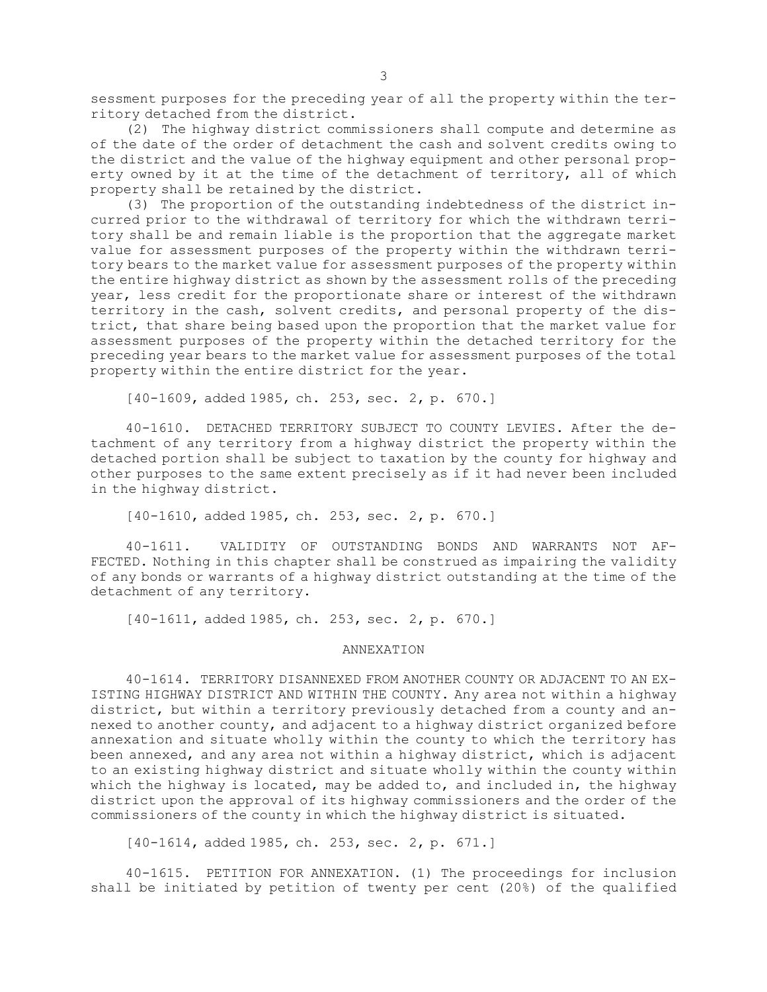sessment purposes for the preceding year of all the property within the territory detached from the district.

(2) The highway district commissioners shall compute and determine as of the date of the order of detachment the cash and solvent credits owing to the district and the value of the highway equipment and other personal property owned by it at the time of the detachment of territory, all of which property shall be retained by the district.

(3) The proportion of the outstanding indebtedness of the district incurred prior to the withdrawal of territory for which the withdrawn territory shall be and remain liable is the proportion that the aggregate market value for assessment purposes of the property within the withdrawn territory bears to the market value for assessment purposes of the property within the entire highway district as shown by the assessment rolls of the preceding year, less credit for the proportionate share or interest of the withdrawn territory in the cash, solvent credits, and personal property of the district, that share being based upon the proportion that the market value for assessment purposes of the property within the detached territory for the preceding year bears to the market value for assessment purposes of the total property within the entire district for the year.

[40-1609, added 1985, ch. 253, sec. 2, p. 670.]

40-1610. DETACHED TERRITORY SUBJECT TO COUNTY LEVIES. After the detachment of any territory from <sup>a</sup> highway district the property within the detached portion shall be subject to taxation by the county for highway and other purposes to the same extent precisely as if it had never been included in the highway district.

[40-1610, added 1985, ch. 253, sec. 2, p. 670.]

40-1611. VALIDITY OF OUTSTANDING BONDS AND WARRANTS NOT AF-FECTED. Nothing in this chapter shall be construed as impairing the validity of any bonds or warrants of <sup>a</sup> highway district outstanding at the time of the detachment of any territory.

[40-1611, added 1985, ch. 253, sec. 2, p. 670.]

## ANNEXATION

40-1614. TERRITORY DISANNEXED FROM ANOTHER COUNTY OR ADJACENT TO AN EX-ISTING HIGHWAY DISTRICT AND WITHIN THE COUNTY. Any area not within <sup>a</sup> highway district, but within <sup>a</sup> territory previously detached from <sup>a</sup> county and annexed to another county, and adjacent to <sup>a</sup> highway district organized before annexation and situate wholly within the county to which the territory has been annexed, and any area not within <sup>a</sup> highway district, which is adjacent to an existing highway district and situate wholly within the county within which the highway is located, may be added to, and included in, the highway district upon the approval of its highway commissioners and the order of the commissioners of the county in which the highway district is situated.

[40-1614, added 1985, ch. 253, sec. 2, p. 671.]

40-1615. PETITION FOR ANNEXATION. (1) The proceedings for inclusion shall be initiated by petition of twenty per cent (20%) of the qualified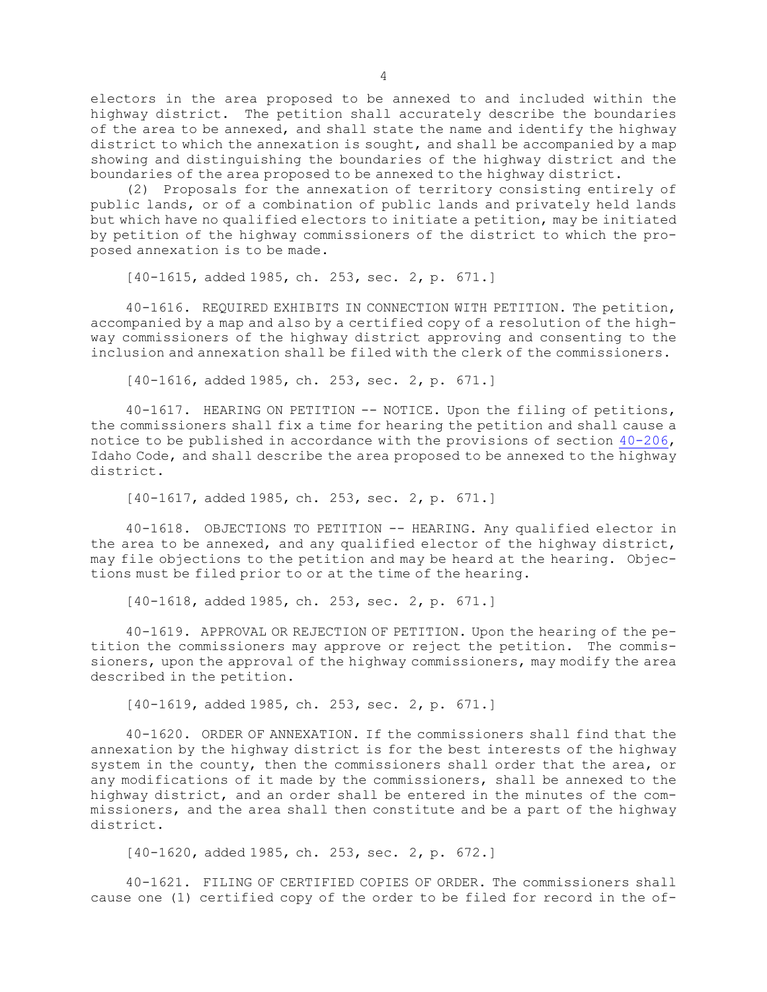electors in the area proposed to be annexed to and included within the highway district. The petition shall accurately describe the boundaries of the area to be annexed, and shall state the name and identify the highway district to which the annexation is sought, and shall be accompanied by <sup>a</sup> map showing and distinguishing the boundaries of the highway district and the boundaries of the area proposed to be annexed to the highway district.

(2) Proposals for the annexation of territory consisting entirely of public lands, or of <sup>a</sup> combination of public lands and privately held lands but which have no qualified electors to initiate <sup>a</sup> petition, may be initiated by petition of the highway commissioners of the district to which the proposed annexation is to be made.

[40-1615, added 1985, ch. 253, sec. 2, p. 671.]

40-1616. REQUIRED EXHIBITS IN CONNECTION WITH PETITION. The petition, accompanied by <sup>a</sup> map and also by <sup>a</sup> certified copy of <sup>a</sup> resolution of the highway commissioners of the highway district approving and consenting to the inclusion and annexation shall be filed with the clerk of the commissioners.

[40-1616, added 1985, ch. 253, sec. 2, p. 671.]

40-1617. HEARING ON PETITION -- NOTICE. Upon the filing of petitions, the commissioners shall fix <sup>a</sup> time for hearing the petition and shall cause <sup>a</sup> notice to be published in accordance with the provisions of section [40-206](https://legislature.idaho.gov/statutesrules/idstat/Title40/T40CH2/SECT40-206), Idaho Code, and shall describe the area proposed to be annexed to the highway district.

[40-1617, added 1985, ch. 253, sec. 2, p. 671.]

40-1618. OBJECTIONS TO PETITION -- HEARING. Any qualified elector in the area to be annexed, and any qualified elector of the highway district, may file objections to the petition and may be heard at the hearing. Objections must be filed prior to or at the time of the hearing.

[40-1618, added 1985, ch. 253, sec. 2, p. 671.]

40-1619. APPROVAL OR REJECTION OF PETITION. Upon the hearing of the petition the commissioners may approve or reject the petition. The commissioners, upon the approval of the highway commissioners, may modify the area described in the petition.

[40-1619, added 1985, ch. 253, sec. 2, p. 671.]

40-1620. ORDER OF ANNEXATION. If the commissioners shall find that the annexation by the highway district is for the best interests of the highway system in the county, then the commissioners shall order that the area, or any modifications of it made by the commissioners, shall be annexed to the highway district, and an order shall be entered in the minutes of the commissioners, and the area shall then constitute and be <sup>a</sup> part of the highway district.

[40-1620, added 1985, ch. 253, sec. 2, p. 672.]

40-1621. FILING OF CERTIFIED COPIES OF ORDER. The commissioners shall cause one (1) certified copy of the order to be filed for record in the of-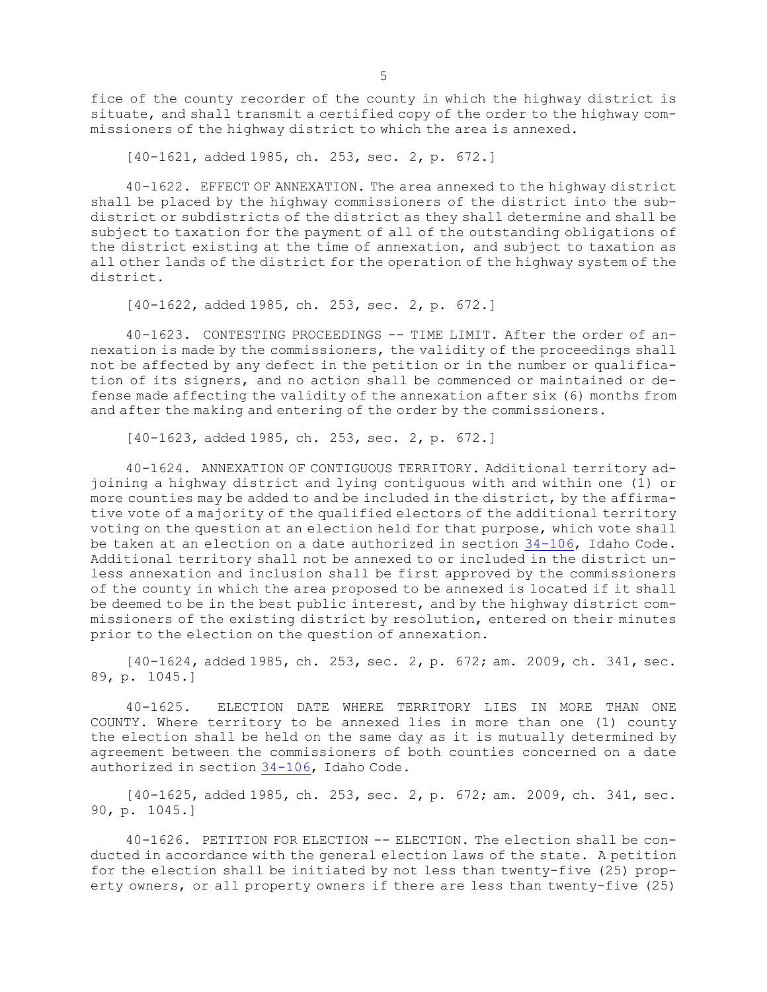fice of the county recorder of the county in which the highway district is situate, and shall transmit <sup>a</sup> certified copy of the order to the highway commissioners of the highway district to which the area is annexed.

[40-1621, added 1985, ch. 253, sec. 2, p. 672.]

40-1622. EFFECT OF ANNEXATION. The area annexed to the highway district shall be placed by the highway commissioners of the district into the subdistrict or subdistricts of the district as they shall determine and shall be subject to taxation for the payment of all of the outstanding obligations of the district existing at the time of annexation, and subject to taxation as all other lands of the district for the operation of the highway system of the district.

[40-1622, added 1985, ch. 253, sec. 2, p. 672.]

40-1623. CONTESTING PROCEEDINGS -- TIME LIMIT. After the order of annexation is made by the commissioners, the validity of the proceedings shall not be affected by any defect in the petition or in the number or qualification of its signers, and no action shall be commenced or maintained or defense made affecting the validity of the annexation after six (6) months from and after the making and entering of the order by the commissioners.

[40-1623, added 1985, ch. 253, sec. 2, p. 672.]

40-1624. ANNEXATION OF CONTIGUOUS TERRITORY. Additional territory adjoining <sup>a</sup> highway district and lying contiguous with and within one (1) or more counties may be added to and be included in the district, by the affirmative vote of <sup>a</sup> majority of the qualified electors of the additional territory voting on the question at an election held for that purpose, which vote shall be taken at an election on <sup>a</sup> date authorized in section [34-106](https://legislature.idaho.gov/statutesrules/idstat/Title34/T34CH1/SECT34-106), Idaho Code. Additional territory shall not be annexed to or included in the district unless annexation and inclusion shall be first approved by the commissioners of the county in which the area proposed to be annexed is located if it shall be deemed to be in the best public interest, and by the highway district commissioners of the existing district by resolution, entered on their minutes prior to the election on the question of annexation.

[40-1624, added 1985, ch. 253, sec. 2, p. 672; am. 2009, ch. 341, sec. 89, p. 1045.]

40-1625. ELECTION DATE WHERE TERRITORY LIES IN MORE THAN ONE COUNTY. Where territory to be annexed lies in more than one (1) county the election shall be held on the same day as it is mutually determined by agreement between the commissioners of both counties concerned on <sup>a</sup> date authorized in section [34-106](https://legislature.idaho.gov/statutesrules/idstat/Title34/T34CH1/SECT34-106), Idaho Code.

[40-1625, added 1985, ch. 253, sec. 2, p. 672; am. 2009, ch. 341, sec. 90, p. 1045.]

40-1626. PETITION FOR ELECTION -- ELECTION. The election shall be conducted in accordance with the general election laws of the state. <sup>A</sup> petition for the election shall be initiated by not less than twenty-five (25) property owners, or all property owners if there are less than twenty-five (25)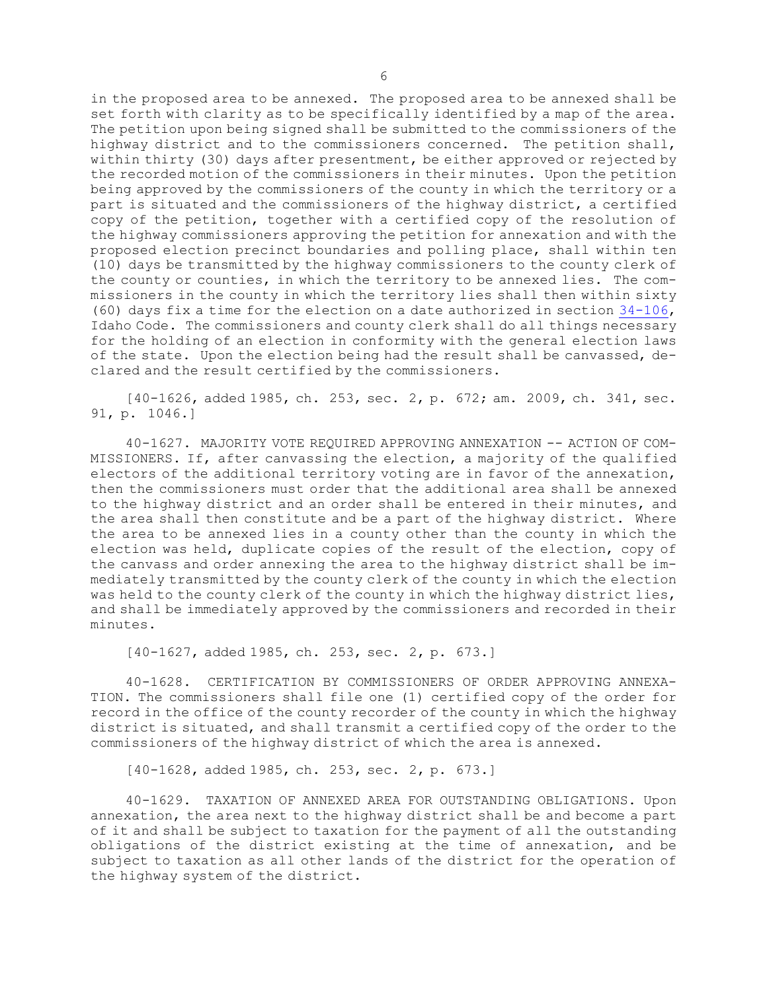in the proposed area to be annexed. The proposed area to be annexed shall be set forth with clarity as to be specifically identified by <sup>a</sup> map of the area. The petition upon being signed shall be submitted to the commissioners of the highway district and to the commissioners concerned. The petition shall, within thirty (30) days after presentment, be either approved or rejected by the recorded motion of the commissioners in their minutes. Upon the petition being approved by the commissioners of the county in which the territory or <sup>a</sup> part is situated and the commissioners of the highway district, <sup>a</sup> certified copy of the petition, together with <sup>a</sup> certified copy of the resolution of the highway commissioners approving the petition for annexation and with the proposed election precinct boundaries and polling place, shall within ten (10) days be transmitted by the highway commissioners to the county clerk of the county or counties, in which the territory to be annexed lies. The commissioners in the county in which the territory lies shall then within sixty (60) days fix <sup>a</sup> time for the election on <sup>a</sup> date authorized in section [34-106](https://legislature.idaho.gov/statutesrules/idstat/Title34/T34CH1/SECT34-106), Idaho Code. The commissioners and county clerk shall do all things necessary for the holding of an election in conformity with the general election laws of the state. Upon the election being had the result shall be canvassed, declared and the result certified by the commissioners.

[40-1626, added 1985, ch. 253, sec. 2, p. 672; am. 2009, ch. 341, sec. 91, p. 1046.]

40-1627. MAJORITY VOTE REQUIRED APPROVING ANNEXATION -- ACTION OF COM-MISSIONERS. If, after canvassing the election, <sup>a</sup> majority of the qualified electors of the additional territory voting are in favor of the annexation, then the commissioners must order that the additional area shall be annexed to the highway district and an order shall be entered in their minutes, and the area shall then constitute and be <sup>a</sup> part of the highway district. Where the area to be annexed lies in <sup>a</sup> county other than the county in which the election was held, duplicate copies of the result of the election, copy of the canvass and order annexing the area to the highway district shall be immediately transmitted by the county clerk of the county in which the election was held to the county clerk of the county in which the highway district lies, and shall be immediately approved by the commissioners and recorded in their minutes.

[40-1627, added 1985, ch. 253, sec. 2, p. 673.]

40-1628. CERTIFICATION BY COMMISSIONERS OF ORDER APPROVING ANNEXA-TION. The commissioners shall file one (1) certified copy of the order for record in the office of the county recorder of the county in which the highway district is situated, and shall transmit <sup>a</sup> certified copy of the order to the commissioners of the highway district of which the area is annexed.

[40-1628, added 1985, ch. 253, sec. 2, p. 673.]

40-1629. TAXATION OF ANNEXED AREA FOR OUTSTANDING OBLIGATIONS. Upon annexation, the area next to the highway district shall be and become <sup>a</sup> part of it and shall be subject to taxation for the payment of all the outstanding obligations of the district existing at the time of annexation, and be subject to taxation as all other lands of the district for the operation of the highway system of the district.